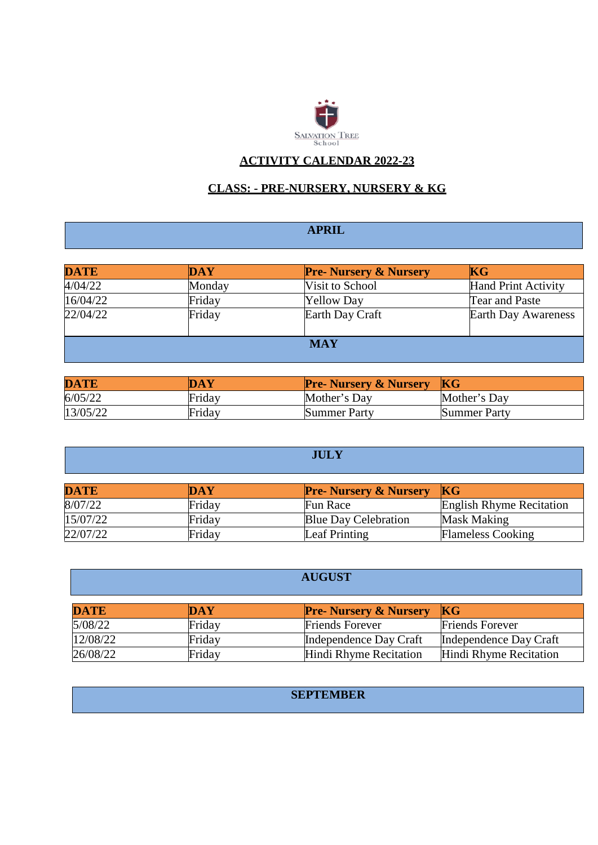

## **ACTIVITY CALENDAR 2022-23**

# **CLASS: - PRE-NURSERY, NURSERY & KG**

# **APRIL**

| <b>DATE</b> | DAY    | <b>Pre- Nursery &amp; Nursery</b> | KG                         |
|-------------|--------|-----------------------------------|----------------------------|
| 4/04/22     | Monday | Visit to School                   | <b>Hand Print Activity</b> |
| 16/04/22    | Friday | <b>Yellow Day</b>                 | Tear and Paste             |
| 22/04/22    | Friday | Earth Day Craft                   | Earth Day Awareness        |
|             |        | <b>MAY</b>                        |                            |

| <b>DATE</b> | <b>DAY</b> | <b>Pre- Nursery &amp; Nursery</b> | KG                  |
|-------------|------------|-----------------------------------|---------------------|
| 6/05/22     | Friday     | Mother's Day                      | Mother's Day        |
| 13/05/22    | Friday     | Summer Party                      | <b>Summer Party</b> |

| <b>JULY</b> |            |                                   |                                 |  |
|-------------|------------|-----------------------------------|---------------------------------|--|
| <b>DATE</b> | <b>DAY</b> | <b>Pre- Nursery &amp; Nursery</b> | $\overline{\text{KG}}$          |  |
| 8/07/22     | Friday     | Fun Race                          | <b>English Rhyme Recitation</b> |  |
| 15/07/22    | Friday     | <b>Blue Day Celebration</b>       | <b>Mask Making</b>              |  |
| 22/07/22    | Friday     | Leaf Printing                     | <b>Flameless Cooking</b>        |  |

|             |            | <b>AUGUST</b>                     |                        |
|-------------|------------|-----------------------------------|------------------------|
| <b>DATE</b> | <b>DAY</b> | <b>Pre- Nursery &amp; Nursery</b> | KG                     |
| 5/08/22     | Friday     | <b>Friends Forever</b>            | <b>Friends Forever</b> |
| 12/08/22    | Friday     | Independence Day Craft            | Independence Day Craft |
| 26/08/22    | Friday     | Hindi Rhyme Recitation            | Hindi Rhyme Recitation |

|  | <b>SEPTEMBER</b> |  |
|--|------------------|--|
|  |                  |  |
|  |                  |  |
|  |                  |  |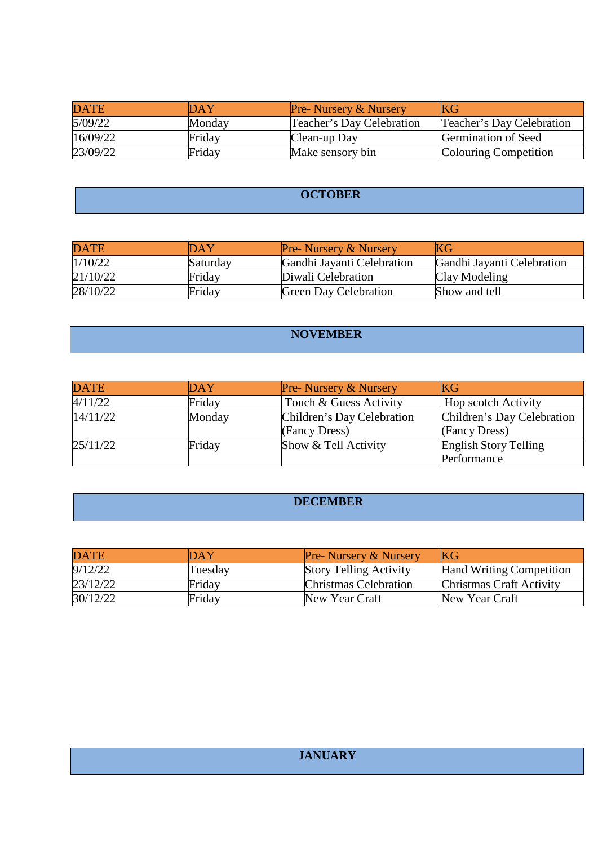| <b>DATE</b> | DAY    | <b>Pre-</b> Nursery & Nursery | ΙKG                       |
|-------------|--------|-------------------------------|---------------------------|
| 5/09/22     | Monday | Teacher's Day Celebration     | Teacher's Day Celebration |
| 16/09/22    | Friday | Clean-up Day                  | Germination of Seed       |
| 23/09/22    | Friday | Make sensory bin              | Colouring Competition     |

# **OCTOBER**

| <b>DATE</b> | $\overline{\text{DAY}}$ | <b>Pre-</b> Nursery & Nursery | KG                         |
|-------------|-------------------------|-------------------------------|----------------------------|
| 1/10/22     | Saturday                | Gandhi Jayanti Celebration    | Gandhi Jayanti Celebration |
| 21/10/22    | Friday                  | Diwali Celebration            | Clay Modeling              |
| 28/10/22    | Friday                  | <b>Green Day Celebration</b>  | Show and tell              |

#### **NOVEMBER**

| <b>DATE</b> | DAY    | <b>Pre-Nursery &amp; Nursery</b> | <b>KG</b>                    |
|-------------|--------|----------------------------------|------------------------------|
| 4/11/22     | Friday | Touch & Guess Activity           | Hop scotch Activity          |
| 14/11/22    | Monday | Children's Day Celebration       | Children's Day Celebration   |
|             |        | (Fancy Dress)                    | (Fancy Dress)                |
| 25/11/22    | Friday | Show & Tell Activity             | <b>English Story Telling</b> |
|             |        |                                  | Performance                  |

#### **DECEMBER**

| <b>DATE</b> | DAY     | <b>Pre- Nursery &amp; Nursery</b> | KG                              |
|-------------|---------|-----------------------------------|---------------------------------|
| 9/12/22     | Tuesday | <b>Story Telling Activity</b>     | <b>Hand Writing Competition</b> |
| 23/12/22    | Friday  | <b>Christmas Celebration</b>      | Christmas Craft Activity        |
| 30/12/22    | Friday  | New Year Craft                    | New Year Craft                  |